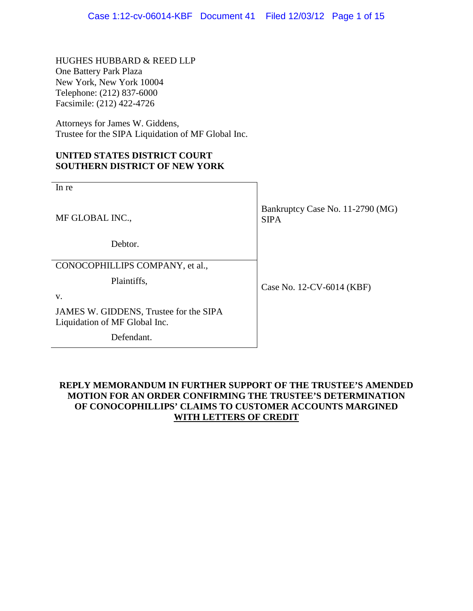HUGHES HUBBARD & REED LLP One Battery Park Plaza New York, New York 10004 Telephone: (212) 837-6000 Facsimile: (212) 422-4726

Attorneys for James W. Giddens, Trustee for the SIPA Liquidation of MF Global Inc.

## **UNITED STATES DISTRICT COURT SOUTHERN DISTRICT OF NEW YORK**

| In re                                                                   |                                                 |
|-------------------------------------------------------------------------|-------------------------------------------------|
| MF GLOBAL INC.,                                                         | Bankruptcy Case No. 11-2790 (MG)<br><b>SIPA</b> |
| Debtor.                                                                 |                                                 |
| CONOCOPHILLIPS COMPANY, et al.,                                         |                                                 |
| Plaintiffs,                                                             | Case No. 12-CV-6014 (KBF)                       |
| V.                                                                      |                                                 |
| JAMES W. GIDDENS, Trustee for the SIPA<br>Liquidation of MF Global Inc. |                                                 |
| Defendant.                                                              |                                                 |

## **REPLY MEMORANDUM IN FURTHER SUPPORT OF THE TRUSTEE'S AMENDED MOTION FOR AN ORDER CONFIRMING THE TRUSTEE'S DETERMINATION OF CONOCOPHILLIPS' CLAIMS TO CUSTOMER ACCOUNTS MARGINED WITH LETTERS OF CREDIT**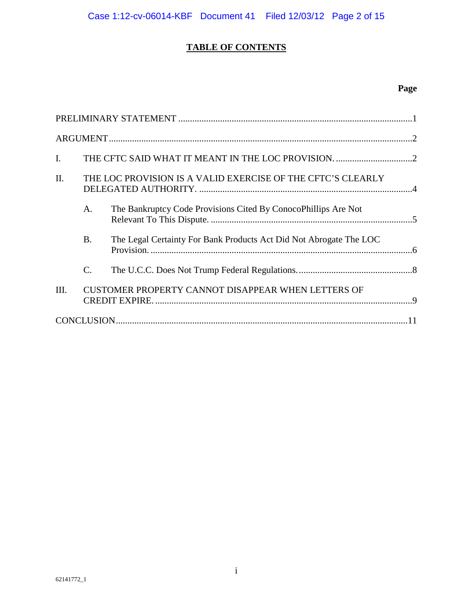## **TABLE OF CONTENTS**

## **Page**

| I.      |                 |                                                                    |  |
|---------|-----------------|--------------------------------------------------------------------|--|
| $\Pi$ . |                 | THE LOC PROVISION IS A VALID EXERCISE OF THE CFTC'S CLEARLY        |  |
|         | A.              | The Bankruptcy Code Provisions Cited By ConocoPhillips Are Not     |  |
|         | <b>B.</b>       | The Legal Certainty For Bank Products Act Did Not Abrogate The LOC |  |
|         | $\mathcal{C}$ . |                                                                    |  |
| III.    |                 | CUSTOMER PROPERTY CANNOT DISAPPEAR WHEN LETTERS OF                 |  |
|         |                 |                                                                    |  |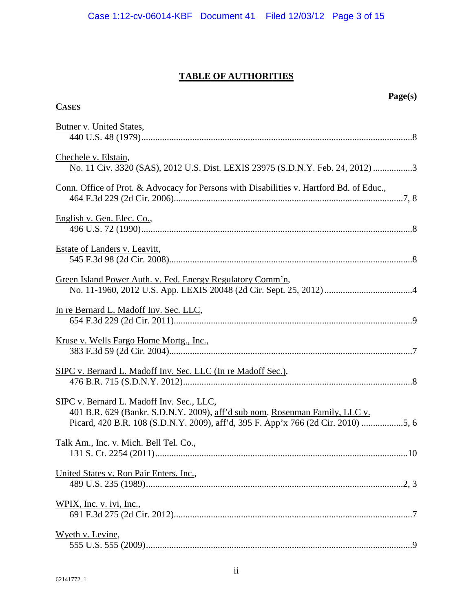## **TABLE OF AUTHORITIES**

| Page(s)<br><b>CASES</b>                                                                                                                                                                                       |  |
|---------------------------------------------------------------------------------------------------------------------------------------------------------------------------------------------------------------|--|
| <b>Butner v. United States,</b>                                                                                                                                                                               |  |
| Chechele v. Elstain,<br>No. 11 Civ. 3320 (SAS), 2012 U.S. Dist. LEXIS 23975 (S.D.N.Y. Feb. 24, 2012) 3                                                                                                        |  |
| Conn. Office of Prot. & Advocacy for Persons with Disabilities v. Hartford Bd. of Educ.,                                                                                                                      |  |
| English v. Gen. Elec. Co.,                                                                                                                                                                                    |  |
| Estate of Landers v. Leavitt,                                                                                                                                                                                 |  |
| Green Island Power Auth. v. Fed. Energy Regulatory Comm'n,                                                                                                                                                    |  |
| In re Bernard L. Madoff Inv. Sec. LLC,                                                                                                                                                                        |  |
| Kruse v. Wells Fargo Home Mortg., Inc.,                                                                                                                                                                       |  |
| SIPC v. Bernard L. Madoff Inv. Sec. LLC (In re Madoff Sec.),                                                                                                                                                  |  |
| SIPC v. Bernard L. Madoff Inv. Sec., LLC,<br>401 B.R. 629 (Bankr. S.D.N.Y. 2009), aff'd sub nom. Rosenman Family, LLC v.<br>Picard, 420 B.R. 108 (S.D.N.Y. 2009), aff'd, 395 F. App'x 766 (2d Cir. 2010) 5, 6 |  |
| Talk Am., Inc. v. Mich. Bell Tel. Co.,                                                                                                                                                                        |  |
| United States v. Ron Pair Enters. Inc.,                                                                                                                                                                       |  |
| WPIX, Inc. v. ivi, Inc.,                                                                                                                                                                                      |  |
| Wyeth v. Levine,                                                                                                                                                                                              |  |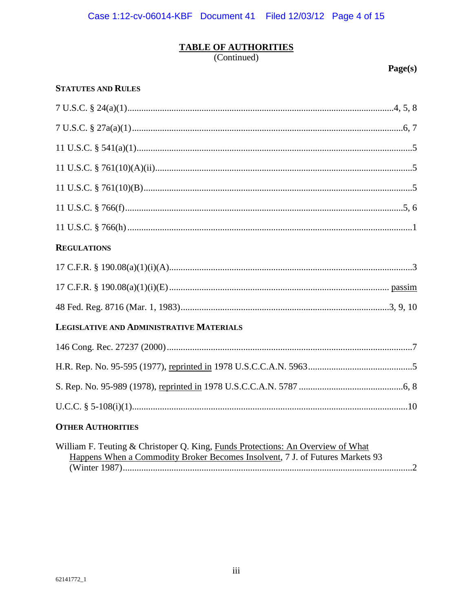# TABLE OF AUTHORITIES (Continued)

Page(s)

## **STATUTES AND RULES**

| <b>REGULATIONS</b>                       |
|------------------------------------------|
|                                          |
|                                          |
|                                          |
| LEGISLATIVE AND ADMINISTRATIVE MATERIALS |
|                                          |
|                                          |
|                                          |
|                                          |
| <b>OTHER AUTHORITIES</b>                 |

| William F. Teuting & Christoper Q. King, Funds Protections: An Overview of What |  |
|---------------------------------------------------------------------------------|--|
| Happens When a Commodity Broker Becomes Insolvent, 7 J. of Futures Markets 93   |  |
|                                                                                 |  |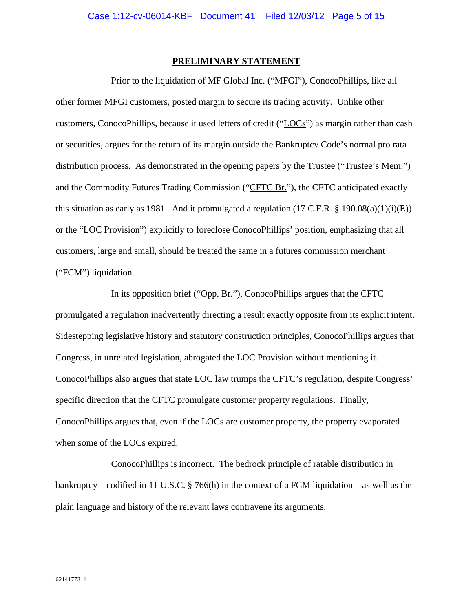#### **PRELIMINARY STATEMENT**

Prior to the liquidation of MF Global Inc. ("MFGI"), ConocoPhillips, like all other former MFGI customers, posted margin to secure its trading activity. Unlike other customers, ConocoPhillips, because it used letters of credit ("LOCs") as margin rather than cash or securities, argues for the return of its margin outside the Bankruptcy Code's normal pro rata distribution process. As demonstrated in the opening papers by the Trustee ("Trustee's Mem.") and the Commodity Futures Trading Commission ("CFTC Br."), the CFTC anticipated exactly this situation as early as 1981. And it promulgated a regulation  $(17 \text{ C.F.R. } § 190.08(a)(1)(i)(E))$ or the "LOC Provision") explicitly to foreclose ConocoPhillips' position, emphasizing that all customers, large and small, should be treated the same in a futures commission merchant ("FCM") liquidation.

In its opposition brief ("Opp. Br."), ConocoPhillips argues that the CFTC promulgated a regulation inadvertently directing a result exactly opposite from its explicit intent. Sidestepping legislative history and statutory construction principles, ConocoPhillips argues that Congress, in unrelated legislation, abrogated the LOC Provision without mentioning it. ConocoPhillips also argues that state LOC law trumps the CFTC's regulation, despite Congress' specific direction that the CFTC promulgate customer property regulations. Finally, ConocoPhillips argues that, even if the LOCs are customer property, the property evaporated when some of the LOCs expired.

<span id="page-4-0"></span>ConocoPhillips is incorrect. The bedrock principle of ratable distribution in bankruptcy – codified in 11 U.S.C. § 766(h) in the context of a FCM liquidation – as well as the plain language and history of the relevant laws contravene its arguments.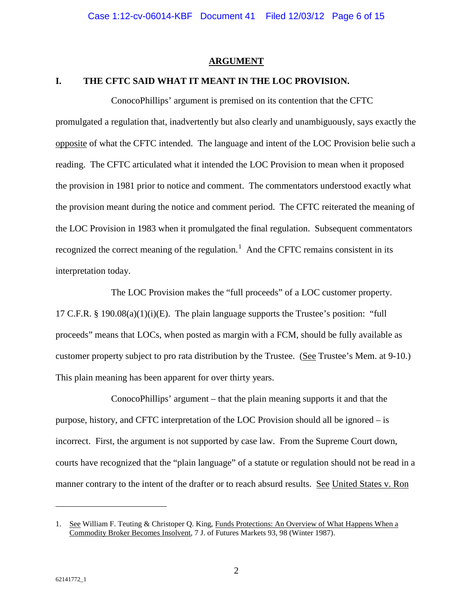#### **ARGUMENT**

#### **I. THE CFTC SAID WHAT IT MEANT IN THE LOC PROVISION.**

ConocoPhillips' argument is premised on its contention that the CFTC promulgated a regulation that, inadvertently but also clearly and unambiguously, says exactly the opposite of what the CFTC intended. The language and intent of the LOC Provision belie such a reading. The CFTC articulated what it intended the LOC Provision to mean when it proposed the provision in 1981 prior to notice and comment. The commentators understood exactly what the provision meant during the notice and comment period. The CFTC reiterated the meaning of the LOC Provision in 1983 when it promulgated the final regulation. Subsequent commentators recognized the correct meaning of the regulation.<sup>[1](#page-5-2)</sup> And the CFTC remains consistent in its interpretation today.

The LOC Provision makes the "full proceeds" of a LOC customer property. 17 C.F.R. § 190.08(a)(1)(i)(E). The plain language supports the Trustee's position: "full proceeds" means that LOCs, when posted as margin with a FCM, should be fully available as customer property subject to pro rata distribution by the Trustee. (See Trustee's Mem. at 9-10.) This plain meaning has been apparent for over thirty years.

ConocoPhillips' argument – that the plain meaning supports it and that the purpose, history, and CFTC interpretation of the LOC Provision should all be ignored – is incorrect. First, the argument is not supported by case law. From the Supreme Court down, courts have recognized that the "plain language" of a statute or regulation should not be read in a manner contrary to the intent of the drafter or to reach absurd results. See United States v. Ron

<span id="page-5-2"></span><span id="page-5-1"></span><span id="page-5-0"></span><sup>1.</sup> See William F. Teuting & Christoper Q. King, Funds Protections: An Overview of What Happens When a Commodity Broker Becomes Insolvent, 7 J. of Futures Markets 93, 98 (Winter 1987).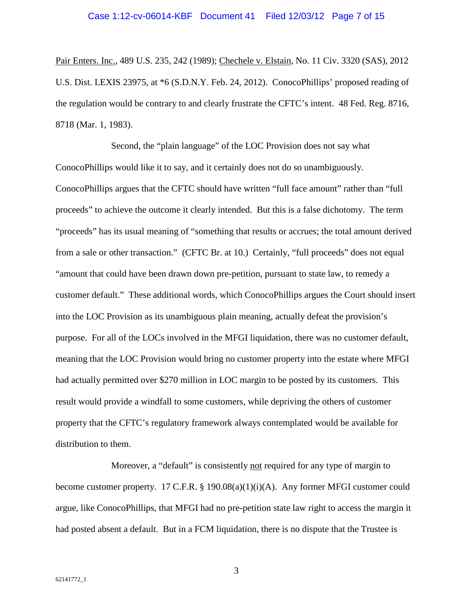<span id="page-6-2"></span><span id="page-6-0"></span>Pair Enters. Inc., 489 U.S. 235, 242 (1989); Chechele v. Elstain, No. 11 Civ. 3320 (SAS), 2012 U.S. Dist. LEXIS 23975, at \*6 (S.D.N.Y. Feb. 24, 2012). ConocoPhillips' proposed reading of the regulation would be contrary to and clearly frustrate the CFTC's intent. 48 Fed. Reg. 8716, 8718 (Mar. 1, 1983).

Second, the "plain language" of the LOC Provision does not say what ConocoPhillips would like it to say, and it certainly does not do so unambiguously. ConocoPhillips argues that the CFTC should have written "full face amount" rather than "full proceeds" to achieve the outcome it clearly intended. But this is a false dichotomy. The term "proceeds" has its usual meaning of "something that results or accrues; the total amount derived from a sale or other transaction." (CFTC Br. at 10.) Certainly, "full proceeds" does not equal "amount that could have been drawn down pre-petition, pursuant to state law, to remedy a customer default." These additional words, which ConocoPhillips argues the Court should insert into the LOC Provision as its unambiguous plain meaning, actually defeat the provision's purpose. For all of the LOCs involved in the MFGI liquidation, there was no customer default, meaning that the LOC Provision would bring no customer property into the estate where MFGI had actually permitted over \$270 million in LOC margin to be posted by its customers. This result would provide a windfall to some customers, while depriving the others of customer property that the CFTC's regulatory framework always contemplated would be available for distribution to them.

<span id="page-6-1"></span>Moreover, a "default" is consistently not required for any type of margin to become customer property. 17 C.F.R. § 190.08(a)(1)(i)(A). Any former MFGI customer could argue, like ConocoPhillips, that MFGI had no pre-petition state law right to access the margin it had posted absent a default. But in a FCM liquidation, there is no dispute that the Trustee is

3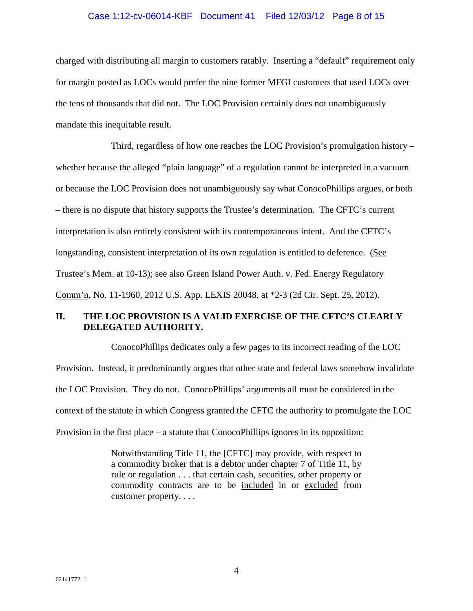#### Case 1:12-cv-06014-KBF Document 41 Filed 12/03/12 Page 8 of 15

charged with distributing all margin to customers ratably. Inserting a "default" requirement only for margin posted as LOCs would prefer the nine former MFGI customers that used LOCs over the tens of thousands that did not. The LOC Provision certainly does not unambiguously mandate this inequitable result.

Third, regardless of how one reaches the LOC Provision's promulgation history – whether because the alleged "plain language" of a regulation cannot be interpreted in a vacuum or because the LOC Provision does not unambiguously say what ConocoPhillips argues, or both – there is no dispute that history supports the Trustee's determination. The CFTC's current interpretation is also entirely consistent with its contemporaneous intent. And the CFTC's longstanding, consistent interpretation of its own regulation is entitled to deference. (See Trustee's Mem. at 10-13); see also Green Island Power Auth. v. Fed. Energy Regulatory Comm'n, No. 11-1960, 2012 U.S. App. LEXIS 20048, at \*2-3 (2d Cir. Sept. 25, 2012).

## <span id="page-7-0"></span>**II. THE LOC PROVISION IS A VALID EXERCISE OF THE CFTC'S CLEARLY DELEGATED AUTHORITY.**

ConocoPhillips dedicates only a few pages to its incorrect reading of the LOC Provision. Instead, it predominantly argues that other state and federal laws somehow invalidate the LOC Provision. They do not. ConocoPhillips' arguments all must be considered in the context of the statute in which Congress granted the CFTC the authority to promulgate the LOC Provision in the first place – a statute that ConocoPhillips ignores in its opposition:

> Notwithstanding Title 11, the [CFTC] may provide, with respect to a commodity broker that is a debtor under chapter 7 of Title 11, by rule or regulation . . . that certain cash, securities, other property or commodity contracts are to be included in or excluded from customer property. . . .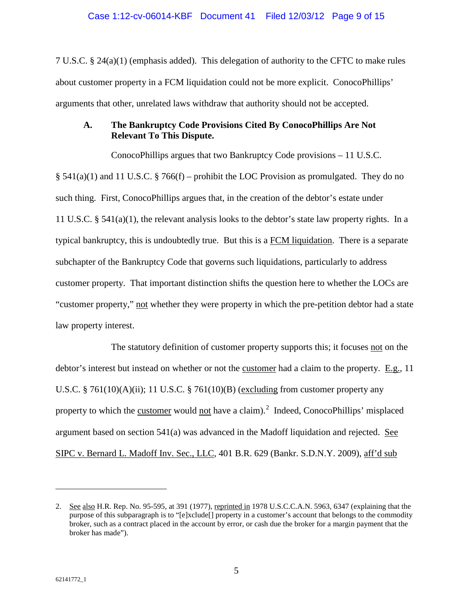<span id="page-8-1"></span>7 U.S.C. § 24(a)(1) (emphasis added). This delegation of authority to the CFTC to make rules about customer property in a FCM liquidation could not be more explicit. ConocoPhillips' arguments that other, unrelated laws withdraw that authority should not be accepted.

## <span id="page-8-4"></span><span id="page-8-2"></span>**A. The Bankruptcy Code Provisions Cited By ConocoPhillips Are Not Relevant To This Dispute.**

ConocoPhillips argues that two Bankruptcy Code provisions – 11 U.S.C. § 541(a)(1) and 11 U.S.C. § 766(f) – prohibit the LOC Provision as promulgated. They do no such thing. First, ConocoPhillips argues that, in the creation of the debtor's estate under 11 U.S.C. § 541(a)(1), the relevant analysis looks to the debtor's state law property rights. In a typical bankruptcy, this is undoubtedly true. But this is a FCM liquidation. There is a separate subchapter of the Bankruptcy Code that governs such liquidations, particularly to address customer property. That important distinction shifts the question here to whether the LOCs are "customer property," not whether they were property in which the pre-petition debtor had a state law property interest.

<span id="page-8-3"></span>The statutory definition of customer property supports this; it focuses not on the debtor's interest but instead on whether or not the customer had a claim to the property. E.g., 11 U.S.C. § 761(10)(A)(ii); 11 U.S.C. § 761(10)(B) (excluding from customer property any property to which the customer would not have a claim).<sup>[2](#page-8-6)</sup> Indeed, ConocoPhillips' misplaced argument based on section 541(a) was advanced in the Madoff liquidation and rejected. See SIPC v. Bernard L. Madoff Inv. Sec., LLC, 401 B.R. 629 (Bankr. S.D.N.Y. 2009), aff'd sub

<span id="page-8-6"></span><span id="page-8-5"></span><span id="page-8-0"></span><sup>2.</sup> See also H.R. Rep. No. 95-595, at 391 (1977), reprinted in 1978 U.S.C.C.A.N. 5963, 6347 (explaining that the purpose of this subparagraph is to "[e]xclude[] property in a customer's account that belongs to the commodity broker, such as a contract placed in the account by error, or cash due the broker for a margin payment that the broker has made").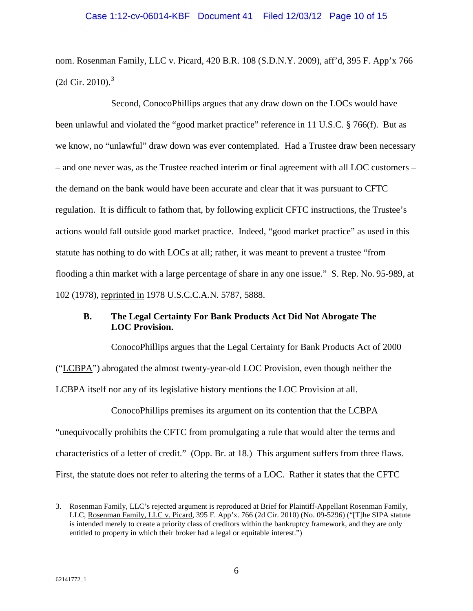nom. Rosenman Family, LLC v. Picard, 420 B.R. 108 (S.D.N.Y. 2009), aff'd, 395 F. App'x 766  $(2d$  Cir. 2010).<sup>[3](#page-9-2)</sup>

<span id="page-9-0"></span>Second, ConocoPhillips argues that any draw down on the LOCs would have been unlawful and violated the "good market practice" reference in 11 U.S.C. § 766(f). But as we know, no "unlawful" draw down was ever contemplated. Had a Trustee draw been necessary – and one never was, as the Trustee reached interim or final agreement with all LOC customers – the demand on the bank would have been accurate and clear that it was pursuant to CFTC regulation. It is difficult to fathom that, by following explicit CFTC instructions, the Trustee's actions would fall outside good market practice. Indeed, "good market practice" as used in this statute has nothing to do with LOCs at all; rather, it was meant to prevent a trustee "from flooding a thin market with a large percentage of share in any one issue." S. Rep. No. 95-989, at 102 (1978), reprinted in 1978 U.S.C.C.A.N. 5787, 5888.

## <span id="page-9-1"></span>**B. The Legal Certainty For Bank Products Act Did Not Abrogate The LOC Provision.**

ConocoPhillips argues that the Legal Certainty for Bank Products Act of 2000 ("LCBPA") abrogated the almost twenty-year-old LOC Provision, even though neither the LCBPA itself nor any of its legislative history mentions the LOC Provision at all.

ConocoPhillips premises its argument on its contention that the LCBPA "unequivocally prohibits the CFTC from promulgating a rule that would alter the terms and characteristics of a letter of credit." (Opp. Br. at 18.) This argument suffers from three flaws. First, the statute does not refer to altering the terms of a LOC. Rather it states that the CFTC

<span id="page-9-2"></span><sup>3.</sup> Rosenman Family, LLC's rejected argument is reproduced at Brief for Plaintiff-Appellant Rosenman Family, LLC, Rosenman Family, LLC v. Picard, 395 F. App'x. 766 (2d Cir. 2010) (No. 09-5296) ("[T]he SIPA statute is intended merely to create a priority class of creditors within the bankruptcy framework, and they are only entitled to property in which their broker had a legal or equitable interest.")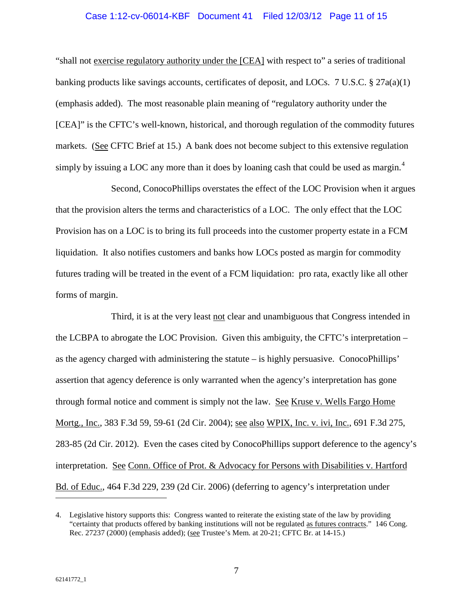#### <span id="page-10-1"></span>Case 1:12-cv-06014-KBF Document 41 Filed 12/03/12 Page 11 of 15

"shall not exercise regulatory authority under the [CEA] with respect to" a series of traditional banking products like savings accounts, certificates of deposit, and LOCs. 7 U.S.C.  $\S 27a(a)(1)$ (emphasis added). The most reasonable plain meaning of "regulatory authority under the [CEA]" is the CFTC's well-known, historical, and thorough regulation of the commodity futures markets. (See CFTC Brief at 15.) A bank does not become subject to this extensive regulation simply by issuing a LOC any more than it does by loaning cash that could be used as margin.<sup>[4](#page-10-2)</sup>

Second, ConocoPhillips overstates the effect of the LOC Provision when it argues that the provision alters the terms and characteristics of a LOC. The only effect that the LOC Provision has on a LOC is to bring its full proceeds into the customer property estate in a FCM liquidation. It also notifies customers and banks how LOCs posted as margin for commodity futures trading will be treated in the event of a FCM liquidation: pro rata, exactly like all other forms of margin.

<span id="page-10-0"></span>Third, it is at the very least not clear and unambiguous that Congress intended in the LCBPA to abrogate the LOC Provision. Given this ambiguity, the CFTC's interpretation – as the agency charged with administering the statute – is highly persuasive. ConocoPhillips' assertion that agency deference is only warranted when the agency's interpretation has gone through formal notice and comment is simply not the law. See Kruse v. Wells Fargo Home Mortg., Inc., 383 F.3d 59, 59-61 (2d Cir. 2004); <u>see also WPIX, Inc. v.</u> ivi, Inc., 691 F.3d 275, 283-85 (2d Cir. 2012). Even the cases cited by ConocoPhillips support deference to the agency's interpretation. See Conn. Office of Prot. & Advocacy for Persons with Disabilities v. Hartford Bd. of Educ., 464 F.3d 229, 239 (2d Cir. 2006) (deferring to agency's interpretation under

<span id="page-10-2"></span><sup>4.</sup> Legislative history supports this: Congress wanted to reiterate the existing state of the law by providing "certainty that products offered by banking institutions will not be regulated as futures contracts." 146 Cong. Rec. 27237 (2000) (emphasis added); (see Trustee's Mem. at 20-21; CFTC Br. at 14-15.)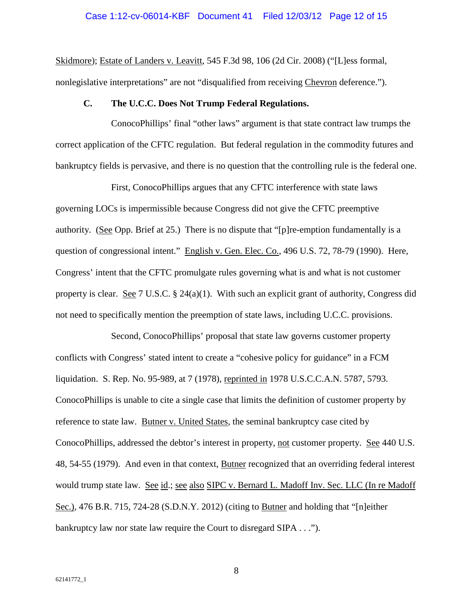Skidmore); Estate of Landers v. Leavitt, 545 F.3d 98, 106 (2d Cir. 2008) ("[L]ess formal, nonlegislative interpretations" are not "disqualified from receiving Chevron deference.").

#### **C. The U.C.C. Does Not Trump Federal Regulations.**

ConocoPhillips' final "other laws" argument is that state contract law trumps the correct application of the CFTC regulation. But federal regulation in the commodity futures and bankruptcy fields is pervasive, and there is no question that the controlling rule is the federal one.

<span id="page-11-0"></span>First, ConocoPhillips argues that any CFTC interference with state laws governing LOCs is impermissible because Congress did not give the CFTC preemptive authority. (See Opp. Brief at 25.) There is no dispute that "[p]re-emption fundamentally is a question of congressional intent." English v. Gen. Elec. Co., 496 U.S. 72, 78-79 (1990). Here, Congress' intent that the CFTC promulgate rules governing what is and what is not customer property is clear. <u>See 7 U.S.C.</u> § 24(a)(1). With such an explicit grant of authority, Congress did not need to specifically mention the preemption of state laws, including U.C.C. provisions.

<span id="page-11-3"></span><span id="page-11-2"></span>Second, ConocoPhillips' proposal that state law governs customer property conflicts with Congress' stated intent to create a "cohesive policy for guidance" in a FCM liquidation. S. Rep. No. 95-989, at 7 (1978), reprinted in 1978 U.S.C.C.A.N. 5787, 5793. ConocoPhillips is unable to cite a single case that limits the definition of customer property by reference to state law. Butner v. United States, the seminal bankruptcy case cited by ConocoPhillips, addressed the debtor's interest in property, not customer property. See 440 U.S. 48, 54-55 (1979). And even in that context, Butner recognized that an overriding federal interest would trump state law. See id.; see also SIPC v. Bernard L. Madoff Inv. Sec. LLC (In re Madoff Sec.), 476 B.R. 715, 724-28 (S.D.N.Y. 2012) (citing to Butner and holding that "[n]either bankruptcy law nor state law require the Court to disregard SIPA . . .").

<span id="page-11-1"></span>8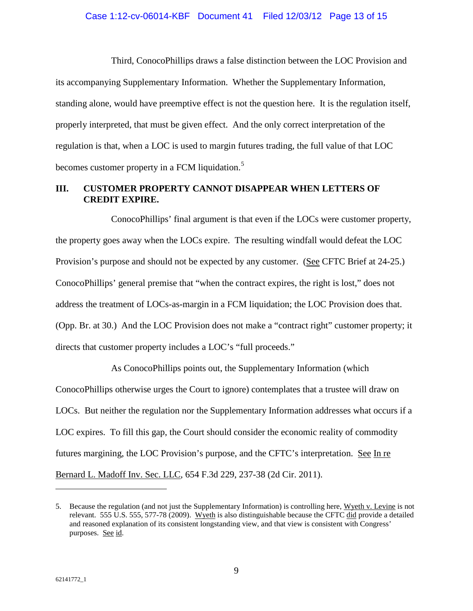Third, ConocoPhillips draws a false distinction between the LOC Provision and its accompanying Supplementary Information. Whether the Supplementary Information, standing alone, would have preemptive effect is not the question here. It is the regulation itself, properly interpreted, that must be given effect. And the only correct interpretation of the regulation is that, when a LOC is used to margin futures trading, the full value of that LOC becomes customer property in a FCM liquidation.<sup>[5](#page-12-2)</sup>

## **III. CUSTOMER PROPERTY CANNOT DISAPPEAR WHEN LETTERS OF CREDIT EXPIRE.**

ConocoPhillips' final argument is that even if the LOCs were customer property, the property goes away when the LOCs expire. The resulting windfall would defeat the LOC Provision's purpose and should not be expected by any customer. (See CFTC Brief at 24-25.) ConocoPhillips' general premise that "when the contract expires, the right is lost," does not address the treatment of LOCs-as-margin in a FCM liquidation; the LOC Provision does that. (Opp. Br. at 30.) And the LOC Provision does not make a "contract right" customer property; it directs that customer property includes a LOC's "full proceeds."

As ConocoPhillips points out, the Supplementary Information (which ConocoPhillips otherwise urges the Court to ignore) contemplates that a trustee will draw on LOCs. But neither the regulation nor the Supplementary Information addresses what occurs if a LOC expires. To fill this gap, the Court should consider the economic reality of commodity futures margining, the LOC Provision's purpose, and the CFTC's interpretation. See In re Bernard L. Madoff Inv. Sec. LLC, 654 F.3d 229, 237-38 (2d Cir. 2011).

<span id="page-12-2"></span><span id="page-12-1"></span><span id="page-12-0"></span><sup>5.</sup> Because the regulation (and not just the Supplementary Information) is controlling here, Wyeth v. Levine is not relevant. 555 U.S. 555, 577-78 (2009). Wyeth is also distinguishable because the CFTC did provide a detailed and reasoned explanation of its consistent longstanding view, and that view is consistent with Congress' purposes. See id.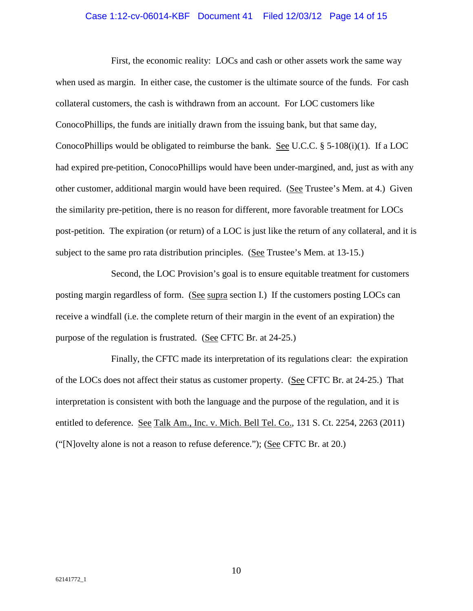#### <span id="page-13-0"></span>Case 1:12-cv-06014-KBF Document 41 Filed 12/03/12 Page 14 of 15

First, the economic reality: LOCs and cash or other assets work the same way when used as margin. In either case, the customer is the ultimate source of the funds. For cash collateral customers, the cash is withdrawn from an account. For LOC customers like ConocoPhillips, the funds are initially drawn from the issuing bank, but that same day, ConocoPhillips would be obligated to reimburse the bank. See U.C.C. § 5-108(i)(1). If a LOC had expired pre-petition, ConocoPhillips would have been under-margined, and, just as with any other customer, additional margin would have been required. (See Trustee's Mem. at 4.) Given the similarity pre-petition, there is no reason for different, more favorable treatment for LOCs post-petition. The expiration (or return) of a LOC is just like the return of any collateral, and it is subject to the same pro rata distribution principles. (See Trustee's Mem. at 13-15.)

Second, the LOC Provision's goal is to ensure equitable treatment for customers posting margin regardless of form. (See supra section I.) If the customers posting LOCs can receive a windfall (i.e. the complete return of their margin in the event of an expiration) the purpose of the regulation is frustrated. (See CFTC Br. at 24-25.)

Finally, the CFTC made its interpretation of its regulations clear: the expiration of the LOCs does not affect their status as customer property. (See CFTC Br. at 24-25.) That interpretation is consistent with both the language and the purpose of the regulation, and it is entitled to deference. See Talk Am., Inc. v. Mich. Bell Tel. Co., 131 S. Ct. 2254, 2263 (2011) ("[N]ovelty alone is not a reason to refuse deference."); (See CFTC Br. at 20.)

10